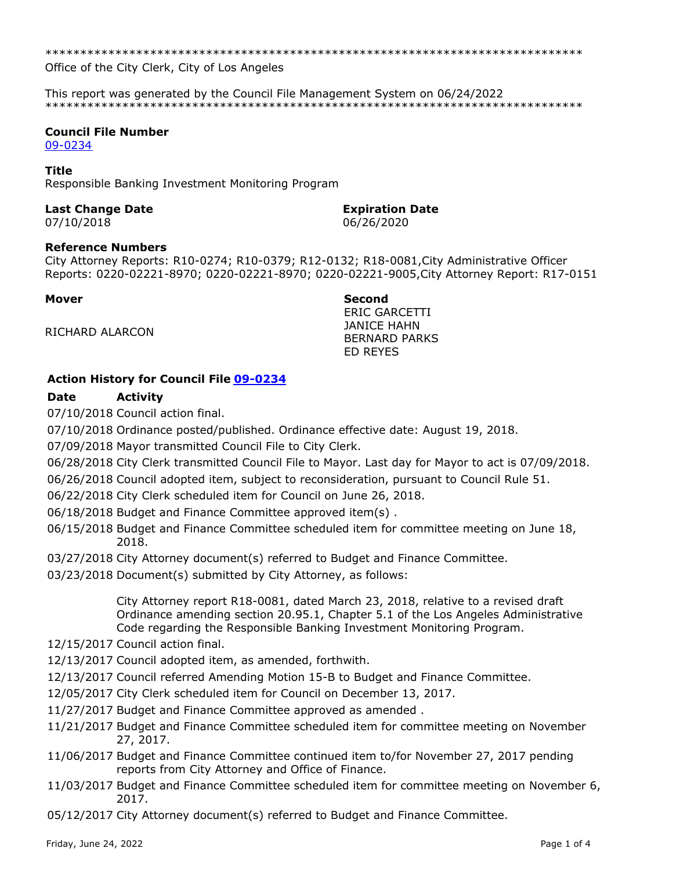\*\*\*\*\*\*\*\*\*\*\*\*\*\*\*\*\*\*\*\*\*\*\*\*\*\*\*\*\*\*\*\*\*\*\*\*\*\*\*\*\*\*\*\*\*\*\*\*\*\*\*\*\*\*\*\*\*\*\*\*\*\*\*\*\*\*\*\*\*\*\*\*\*\*\*\*\*

Office of the City Clerk, City of Los Angeles

This report was generated by the Council File Management System on 06/24/2022 \*\*\*\*\*\*\*\*\*\*\*\*\*\*\*\*\*\*\*\*\*\*\*\*\*\*\*\*\*\*\*\*\*\*\*\*\*\*\*\*\*\*\*\*\*\*\*\*\*\*\*\*\*\*\*\*\*\*\*\*\*\*\*\*\*\*\*\*\*\*\*\*\*\*\*\*\*

## **Council File Number**

[09-0234](https://cityclerk.lacity.org/lacityclerkconnect/index.cfm?fa=ccfi.viewrecord&cfnumber=09-0234)

#### **Title**

Responsible Banking Investment Monitoring Program

### **Last Change Date Expiration Date**

07/10/2018 06/26/2020

#### **Reference Numbers**

City Attorney Reports: R10-0274; R10-0379; R12-0132; R18-0081,City Administrative Officer Reports: 0220-02221-8970; 0220-02221-8970; 0220-02221-9005,City Attorney Report: R17-0151

#### **Mover Second**

RICHARD ALARCON

ERIC GARCETTI JANICE HAHN BERNARD PARKS ED REYES

## **Action History for Council File [09-0234](https://cityclerk.lacity.org/lacityclerkconnect/index.cfm?fa=ccfi.viewrecord&cfnumber=09-0234)**

# **Date Activity**

07/10/2018 Council action final.

07/10/2018 Ordinance posted/published. Ordinance effective date: August 19, 2018.

07/09/2018 Mayor transmitted Council File to City Clerk.

06/28/2018 City Clerk transmitted Council File to Mayor. Last day for Mayor to act is 07/09/2018.

06/26/2018 Council adopted item, subject to reconsideration, pursuant to Council Rule 51.

06/22/2018 City Clerk scheduled item for Council on June 26, 2018.

06/18/2018 Budget and Finance Committee approved item(s) .

- 06/15/2018 Budget and Finance Committee scheduled item for committee meeting on June 18, 2018.
- 03/27/2018 City Attorney document(s) referred to Budget and Finance Committee.

03/23/2018 Document(s) submitted by City Attorney, as follows:

City Attorney report R18-0081, dated March 23, 2018, relative to a revised draft Ordinance amending section 20.95.1, Chapter 5.1 of the Los Angeles Administrative Code regarding the Responsible Banking Investment Monitoring Program.

12/15/2017 Council action final.

- 12/13/2017 Council adopted item, as amended, forthwith.
- 12/13/2017 Council referred Amending Motion 15-B to Budget and Finance Committee.
- 12/05/2017 City Clerk scheduled item for Council on December 13, 2017.
- 11/27/2017 Budget and Finance Committee approved as amended .
- 11/21/2017 Budget and Finance Committee scheduled item for committee meeting on November 27, 2017.
- 11/06/2017 Budget and Finance Committee continued item to/for November 27, 2017 pending reports from City Attorney and Office of Finance.
- 11/03/2017 Budget and Finance Committee scheduled item for committee meeting on November 6, 2017.

05/12/2017 City Attorney document(s) referred to Budget and Finance Committee.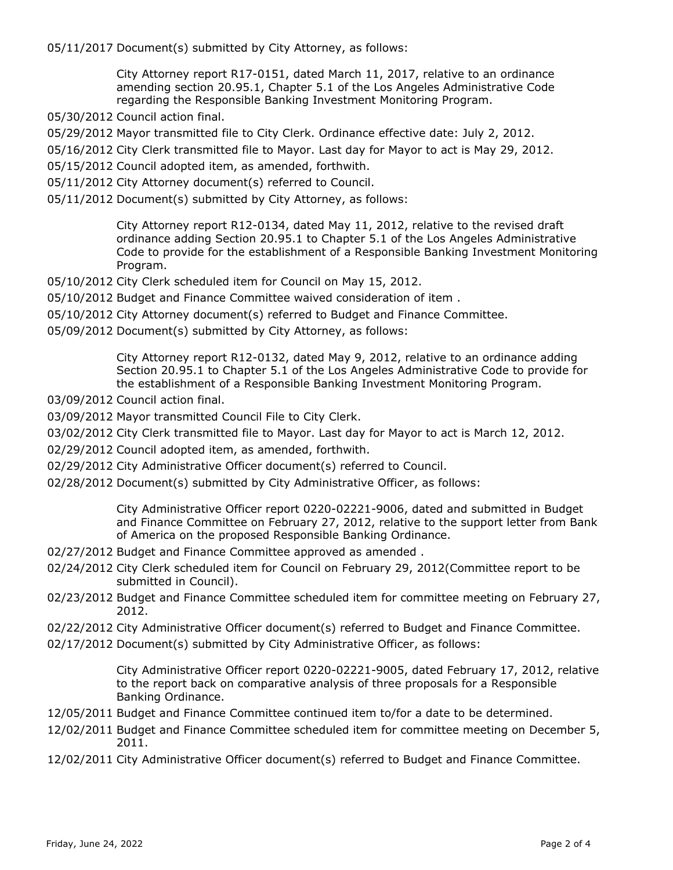05/11/2017 Document(s) submitted by City Attorney, as follows:

City Attorney report R17-0151, dated March 11, 2017, relative to an ordinance amending section 20.95.1, Chapter 5.1 of the Los Angeles Administrative Code regarding the Responsible Banking Investment Monitoring Program.

- 05/30/2012 Council action final.
- 05/29/2012 Mayor transmitted file to City Clerk. Ordinance effective date: July 2, 2012.
- 05/16/2012 City Clerk transmitted file to Mayor. Last day for Mayor to act is May 29, 2012.
- 05/15/2012 Council adopted item, as amended, forthwith.
- 05/11/2012 City Attorney document(s) referred to Council.
- 05/11/2012 Document(s) submitted by City Attorney, as follows:

City Attorney report R12-0134, dated May 11, 2012, relative to the revised draft ordinance adding Section 20.95.1 to Chapter 5.1 of the Los Angeles Administrative Code to provide for the establishment of a Responsible Banking Investment Monitoring Program.

- 05/10/2012 City Clerk scheduled item for Council on May 15, 2012.
- 05/10/2012 Budget and Finance Committee waived consideration of item .
- 05/10/2012 City Attorney document(s) referred to Budget and Finance Committee.
- 05/09/2012 Document(s) submitted by City Attorney, as follows:

City Attorney report R12-0132, dated May 9, 2012, relative to an ordinance adding Section 20.95.1 to Chapter 5.1 of the Los Angeles Administrative Code to provide for the establishment of a Responsible Banking Investment Monitoring Program.

- 03/09/2012 Council action final.
- 03/09/2012 Mayor transmitted Council File to City Clerk.
- 03/02/2012 City Clerk transmitted file to Mayor. Last day for Mayor to act is March 12, 2012.
- 02/29/2012 Council adopted item, as amended, forthwith.
- 02/29/2012 City Administrative Officer document(s) referred to Council.
- 02/28/2012 Document(s) submitted by City Administrative Officer, as follows:

City Administrative Officer report 0220-02221-9006, dated and submitted in Budget and Finance Committee on February 27, 2012, relative to the support letter from Bank of America on the proposed Responsible Banking Ordinance.

- 02/27/2012 Budget and Finance Committee approved as amended .
- 02/24/2012 City Clerk scheduled item for Council on February 29, 2012(Committee report to be submitted in Council).
- 02/23/2012 Budget and Finance Committee scheduled item for committee meeting on February 27, 2012.
- 02/22/2012 City Administrative Officer document(s) referred to Budget and Finance Committee.
- 02/17/2012 Document(s) submitted by City Administrative Officer, as follows:

City Administrative Officer report 0220-02221-9005, dated February 17, 2012, relative to the report back on comparative analysis of three proposals for a Responsible Banking Ordinance.

- 12/05/2011 Budget and Finance Committee continued item to/for a date to be determined.
- 12/02/2011 Budget and Finance Committee scheduled item for committee meeting on December 5, 2011.
- 12/02/2011 City Administrative Officer document(s) referred to Budget and Finance Committee.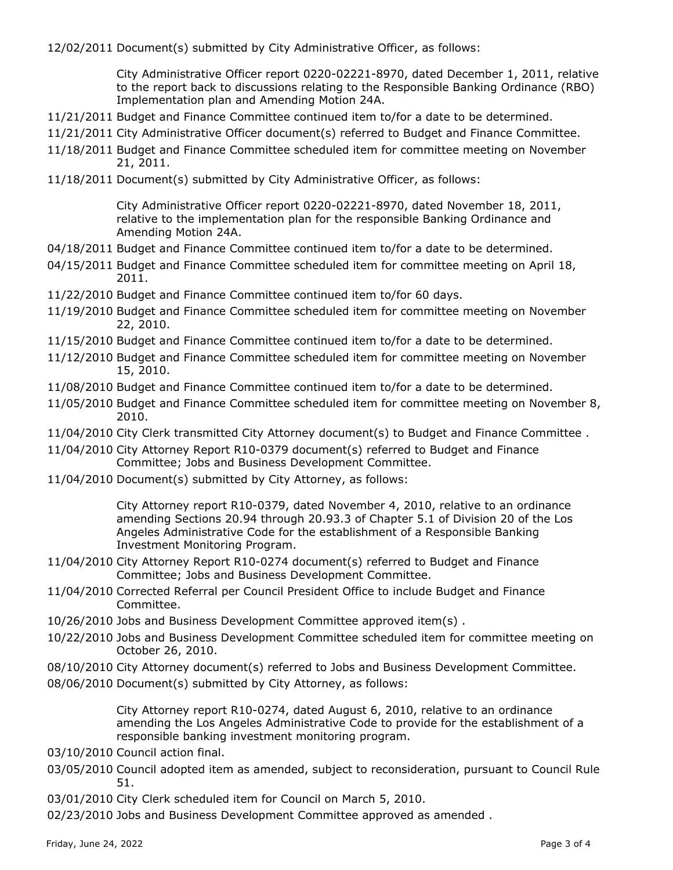12/02/2011 Document(s) submitted by City Administrative Officer, as follows:

City Administrative Officer report 0220-02221-8970, dated December 1, 2011, relative to the report back to discussions relating to the Responsible Banking Ordinance (RBO) Implementation plan and Amending Motion 24A.

- 11/21/2011 Budget and Finance Committee continued item to/for a date to be determined.
- 11/21/2011 City Administrative Officer document(s) referred to Budget and Finance Committee.
- 11/18/2011 Budget and Finance Committee scheduled item for committee meeting on November 21, 2011.
- 11/18/2011 Document(s) submitted by City Administrative Officer, as follows:

City Administrative Officer report 0220-02221-8970, dated November 18, 2011, relative to the implementation plan for the responsible Banking Ordinance and Amending Motion 24A.

- 04/18/2011 Budget and Finance Committee continued item to/for a date to be determined.
- 04/15/2011 Budget and Finance Committee scheduled item for committee meeting on April 18, 2011.
- 11/22/2010 Budget and Finance Committee continued item to/for 60 days.
- 11/19/2010 Budget and Finance Committee scheduled item for committee meeting on November 22, 2010.
- 11/15/2010 Budget and Finance Committee continued item to/for a date to be determined.
- 11/12/2010 Budget and Finance Committee scheduled item for committee meeting on November 15, 2010.
- 11/08/2010 Budget and Finance Committee continued item to/for a date to be determined.
- 11/05/2010 Budget and Finance Committee scheduled item for committee meeting on November 8, 2010.
- 11/04/2010 City Clerk transmitted City Attorney document(s) to Budget and Finance Committee .
- 11/04/2010 City Attorney Report R10-0379 document(s) referred to Budget and Finance Committee; Jobs and Business Development Committee.
- 11/04/2010 Document(s) submitted by City Attorney, as follows:

City Attorney report R10-0379, dated November 4, 2010, relative to an ordinance amending Sections 20.94 through 20.93.3 of Chapter 5.1 of Division 20 of the Los Angeles Administrative Code for the establishment of a Responsible Banking Investment Monitoring Program.

- 11/04/2010 City Attorney Report R10-0274 document(s) referred to Budget and Finance Committee; Jobs and Business Development Committee.
- 11/04/2010 Corrected Referral per Council President Office to include Budget and Finance Committee.
- 10/26/2010 Jobs and Business Development Committee approved item(s) .
- 10/22/2010 Jobs and Business Development Committee scheduled item for committee meeting on October 26, 2010.
- 08/10/2010 City Attorney document(s) referred to Jobs and Business Development Committee.
- 08/06/2010 Document(s) submitted by City Attorney, as follows:

City Attorney report R10-0274, dated August 6, 2010, relative to an ordinance amending the Los Angeles Administrative Code to provide for the establishment of a responsible banking investment monitoring program.

- 03/10/2010 Council action final.
- 03/05/2010 Council adopted item as amended, subject to reconsideration, pursuant to Council Rule 51.
- 03/01/2010 City Clerk scheduled item for Council on March 5, 2010.

02/23/2010 Jobs and Business Development Committee approved as amended .